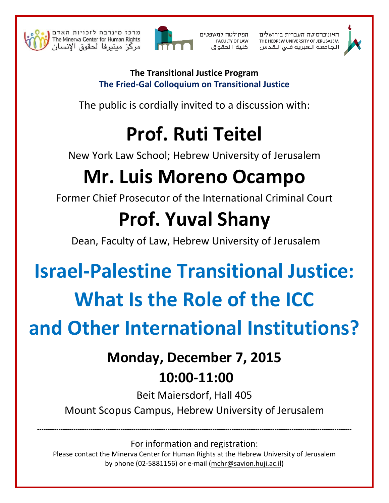

מרכז מינרבה לזכויות האדם The Minerva Center for Human Rights امركز مبنبرفا لحقوق الإنسان



הפקולטה למשפטים **FACULTY OF LAW** كلية الحقوق האוניברסיטה העברית בירושלים THE HEBREW UNIVERSITY OF JERUSALEM الجامعة العبرية فى الـقدس



#### **The Transitional Justice Program** The Fried-Gal Colloquium on Transitional Justice

The public is cordially invited to a discussion with:

# **Prof. Ruti Teitel**

New York Law School; Hebrew University of Jerusalem

# **Mr. Luis Moreno Ocampo**

Former Chief Prosecutor of the International Criminal Court

## **Prof. Yuval Shany**

Dean, Faculty of Law, Hebrew University of Jerusalem

### **Israel-Palestine Transitional Justice:** What Is the Role of the ICC

# and Other International Institutions?

# **Monday, December 7, 2015**

#### 10:00-11:00

Beit Maiersdorf, Hall 405 Mount Scopus Campus, Hebrew University of Jerusalem

For information and registration:

Please contact the Minerva Center for Human Rights at the Hebrew University of Jerusalem by phone (02-5881156) or e-mail (mchr@savion.huji.ac.il)